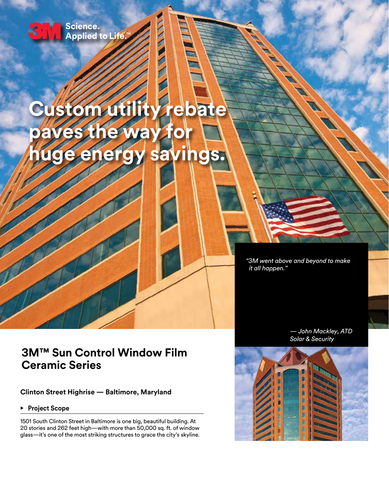

### Science. Applied to Life."

# **Custom utility rebate paves the way fo huge energy savings.**

**THE MAIN** 

*"3M went above and beyond to make it all happen."*

## **3M™ Sun Control Window Film Ceramic Series**

**Clinton Street Highrise — Baltimore, Maryland**

**• Project Scope** 

1501 South Clinton Street in Baltimore is one big, beautiful building. At 20 stories and 262 feet high—with more than 50,000 sq. ft. of window glass—it's one of the most striking structures to grace the city's skyline.



*— John Mackley, ATD*